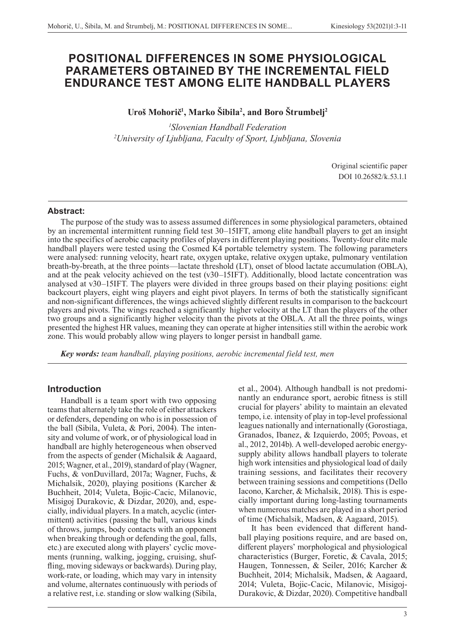# **POSITIONAL DIFFERENCES IN SOME PHYSIOLOGICAL PARAMETERS OBTAINED BY THE INCREMENTAL FIELD ENDURANCE TEST AMONG ELITE HANDBALL PLAYERS**

# **Uroš Mohorič<sup>1</sup> , Marko Šibila2 , and Boro Štrumbelj2**

*1 Slovenian Handball Federation 2 University of Ljubljana, Faculty of Sport, Ljubljana, Slovenia*

> Original scientific paper DOI 10.26582/k.53.1.1

## **Abstract:**

The purpose of the study was to assess assumed differences in some physiological parameters, obtained by an incremental intermittent running field test 30–15IFT, among elite handball players to get an insight into the specifics of aerobic capacity profiles of players in different playing positions. Twenty-four elite male handball players were tested using the Cosmed K4 portable telemetry system. The following parameters were analysed: running velocity, heart rate, oxygen uptake, relative oxygen uptake, pulmonary ventilation breath-by-breath, at the three points—lactate threshold (LT), onset of blood lactate accumulation (OBLA), and at the peak velocity achieved on the test (v30–15IFT). Additionally, blood lactate concentration was analysed at v30–15IFT. The players were divided in three groups based on their playing positions: eight backcourt players, eight wing players and eight pivot players. In terms of both the statistically significant and non-significant differences, the wings achieved slightly different results in comparison to the backcourt players and pivots. The wings reached a significantly higher velocity at the LT than the players of the other two groups and a significantly higher velocity than the pivots at the OBLA. At all the three points, wings presented the highest HR values, meaning they can operate at higher intensities still within the aerobic work zone. This would probably allow wing players to longer persist in handball game.

*Key words: team handball, playing positions, aerobic incremental field test, men*

# **Introduction**

Handball is a team sport with two opposing teams that alternately take the role of either attackers or defenders, depending on who is in possession of the ball (Sibila, Vuleta, & Pori, 2004). The intensity and volume of work, or of physiological load in handball are highly heterogeneous when observed from the aspects of gender (Michalsik & Aagaard, 2015; Wagner, et al., 2019), standard of play (Wagner, Fuchs, & vonDuvillard, 2017a; Wagner, Fuchs, & Michalsik, 2020), playing positions (Karcher & Buchheit, 2014; Vuleta, Bojic-Cacic, Milanovic, Misigoj Durakovic, & Dizdar, 2020), and, especially, individual players. In a match, acyclic (intermittent) activities (passing the ball, various kinds of throws, jumps, body contacts with an opponent when breaking through or defending the goal, falls, etc.) are executed along with players' cyclic movements (running, walking, jogging, cruising, shuffling, moving sideways or backwards). During play, work-rate, or loading, which may vary in intensity and volume, alternates continuously with periods of a relative rest, i.e. standing or slow walking (Sibila, et al., 2004). Although handball is not predominantly an endurance sport, aerobic fitness is still crucial for players' ability to maintain an elevated tempo, i.e. intensity of play in top-level professional leagues nationally and internationally (Gorostiaga, Granados, Ibanez, & Izquierdo, 2005; Povoas, et al., 2012, 2014b). A well-developed aerobic energysupply ability allows handball players to tolerate high work intensities and physiological load of daily training sessions, and facilitates their recovery between training sessions and competitions (Dello Iacono, Karcher, & Michalsik, 2018). This is especially important during long-lasting tournaments when numerous matches are played in a short period of time (Michalsik, Madsen, & Aagaard, 2015).

It has been evidenced that different handball playing positions require, and are based on, different players' morphological and physiological characteristics (Burger, Foretic, & Cavala, 2015; Haugen, Tonnessen, & Seiler, 2016; Karcher & Buchheit, 2014; Michalsik, Madsen, & Aagaard, 2014; Vuleta, Bojic-Cacic, Milanovic, Misigoj-Durakovic, & Dizdar, 2020). Competitive handball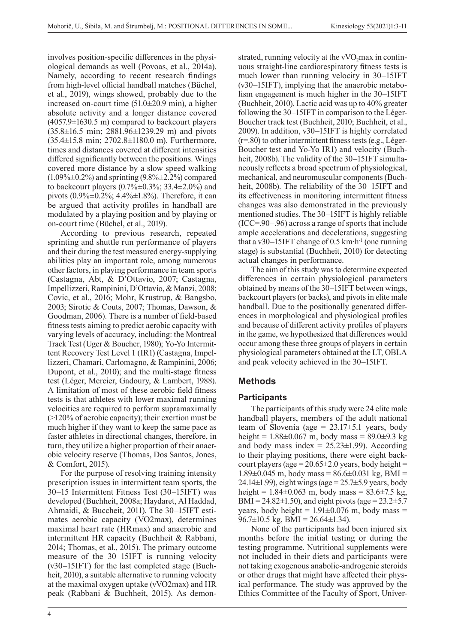involves position-specific differences in the physiological demands as well (Povoas, et al., 2014a). Namely, according to recent research findings from high-level official handball matches (Büchel, et al., 2019), wings showed, probably due to the increased on-court time (51.0±20.9 min), a higher absolute activity and a longer distance covered (4057.9±1630.5 m) compared to backcourt players (35.8±16.5 min; 2881.96±1239.29 m) and pivots (35.4±15.8 min; 2702.8±1180.0 m). Furthermore, times and distances covered at different intensities differed significantly between the positions. Wings covered more distance by a slow speed walking  $(1.09\% \pm 0.2\%)$  and sprinting  $(9.8\% \pm 2.2\%)$  compared to backcourt players  $(0.7\% \pm 0.3\%; 33.4 \pm 2.0\%)$  and pivots (0.9%±0.2%; 4.4%±1.8%). Therefore, it can be argued that activity profiles in handball are modulated by a playing position and by playing or on-court time (Büchel, et al., 2019).

According to previous research, repeated sprinting and shuttle run performance of players and their during the test measured energy-supplying abilities play an important role, among numerous other factors, in playing performance in team sports (Castagna, Abt, & D'Ottavio, 2007; Castagna, Impellizzeri, Rampinini, D'Ottavio, & Manzi, 2008; Covic, et al., 2016; Mohr, Krustrup, & Bangsbo, 2003; Sirotic & Couts, 2007; Thomas, Dawson, & Goodman, 2006). There is a number of field-based fitness tests aiming to predict aerobic capacity with varying levels of accuracy, including: the Montreal Track Test (Uger & Boucher, 1980); Yo-Yo Intermittent Recovery Test Level 1 (IR1) (Castagna, Impellizzeri, Chamari, Carlomagno, & Rampinini, 2006; Dupont, et al., 2010); and the multi-stage fitness test (Léger, Mercier, Gadoury, & Lambert, 1988). A limitation of most of these aerobic field fitness tests is that athletes with lower maximal running velocities are required to perform supramaximally (>120% of aerobic capacity); their exertion must be much higher if they want to keep the same pace as faster athletes in directional changes, therefore, in turn, they utilize a higher proportion of their anaerobic velocity reserve (Thomas, Dos Santos, Jones, & Comfort, 2015).

For the purpose of resolving training intensity prescription issues in intermittent team sports, the 30–15 Intermittent Fitness Test (30–15IFT) was developed (Buchheit, 2008a; Haydaret, Al Haddad, Ahmaidi, & Buccheit, 2011). The 30–15IFT estimates aerobic capacity (VO2max), determines maximal heart rate (HRmax) and anaerobic and intermittent HR capacity (Buchheit & Rabbani, 2014; Thomas, et al., 2015). The primary outcome measure of the 30–15IFT is running velocity (v30–15IFT) for the last completed stage (Buchheit, 2010), a suitable alternative to running velocity at the maximal oxygen uptake (vVO2max) and HR peak (Rabbani & Buchheit, 2015). As demonstrated, running velocity at the  $vVO_2$  max in continuous straight-line cardiorespiratory fitness tests is much lower than running velocity in 30–15IFT (v30–15IFT), implying that the anaerobic metabolism engagement is much higher in the 30–15IFT (Buchheit, 2010). Lactic acid was up to 40% greater following the 30–15IFT in comparison to the Léger-Boucher track test (Buchheit, 2010; Buchheit, et al., 2009). In addition, v30–15IFT is highly correlated (r=.80) to other intermittent fitness tests (e.g., Léger-Boucher test and Yo-Yo IR1) and velocity (Buchheit, 2008b). The validity of the 30–15IFT simultaneously reflects a broad spectrum of physiological, mechanical, and neuromuscular components (Buchheit, 2008b). The reliability of the 30–15IFT and its effectiveness in monitoring intermittent fitness changes was also demonstrated in the previously mentioned studies. The 30–15IFT is highly reliable (ICC=.90–.96) across a range of sports that include ample accelerations and decelerations, suggesting that a v30–15IFT change of 0.5 km**·**h-1 (one running stage) is substantial (Buchheit, 2010) for detecting actual changes in performance.

The aim of this study was to determine expected differences in certain physiological parameters obtained by means of the 30–15IFT between wings, backcourt players (or backs), and pivots in elite male handball. Due to the positionally generated differences in morphological and physiological profiles and because of different activity profiles of players in the game, we hypothesized that differences would occur among these three groups of players in certain physiological parameters obtained at the LT, OBLA and peak velocity achieved in the 30–15IFT.

# **Methods**

# **Participants**

The participants of this study were 24 elite male handball players, members of the adult national team of Slovenia (age =  $23.17\pm5.1$  years, body height =  $1.88 \pm 0.067$  m, body mass =  $89.0 \pm 9.3$  kg and body mass index =  $25.23 \pm 1.99$ ). According to their playing positions, there were eight backcourt players (age =  $20.65\pm2.0$  years, body height =  $1.89\pm0.045$  m, body mass =  $86.6\pm0.031$  kg, BMI = 24.14 $\pm$ 1.99), eight wings (age = 25.7 $\pm$ 5.9 years, body height =  $1.84 \pm 0.063$  m, body mass =  $83.6 \pm 7.5$  kg, BMI = 24.82 $\pm$ 1.50), and eight pivots (age = 23.2 $\pm$ 5.7 years, body height =  $1.91 \pm 0.076$  m, body mass =  $96.7\pm10.5$  kg, BMI =  $26.64\pm1.34$ ).

None of the participants had been injured six months before the initial testing or during the testing programme. Nutritional supplements were not included in their diets and participants were not taking exogenous anabolic-androgenic steroids or other drugs that might have affected their physical performance. The study was approved by the Ethics Committee of the Faculty of Sport, Univer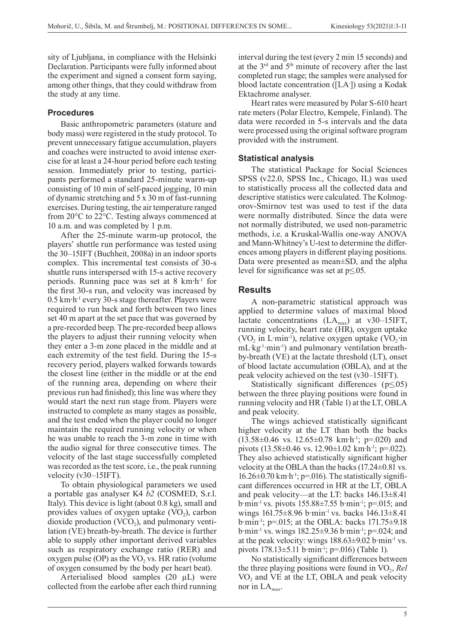sity of Ljubljana, in compliance with the Helsinki Declaration. Participants were fully informed about the experiment and signed a consent form saying, among other things, that they could withdraw from the study at any time.

## **Procedures**

Basic anthropometric parameters (stature and body mass) were registered in the study protocol. To prevent unnecessary fatigue accumulation, players and coaches were instructed to avoid intense exercise for at least a 24-hour period before each testing session. Immediately prior to testing, participants performed a standard 25-minute warm-up consisting of 10 min of self-paced jogging, 10 min of dynamic stretching and 5 x 30 m of fast-running exercises. During testing, the air temperature ranged from 20°C to 22°C. Testing always commenced at 10 a.m. and was completed by 1 p.m.

After the 25-minute warm-up protocol, the players' shuttle run performance was tested using the 30–15IFT (Buchheit, 2008a) in an indoor sports complex. This incremental test consists of 30-s shuttle runs interspersed with 15-s active recovery periods. Running pace was set at 8 km**·**h-1 for the first 30-s run, and velocity was increased by 0.5 km**·**h-1 every 30-s stage thereafter. Players were required to run back and forth between two lines set 40 m apart at the set pace that was governed by a pre-recorded beep. The pre-recorded beep allows the players to adjust their running velocity when they enter a 3-m zone placed in the middle and at each extremity of the test field. During the 15-s recovery period, players walked forwards towards the closest line (either in the middle or at the end of the running area, depending on where their previous run had finished); this line was where they would start the next run stage from. Players were instructed to complete as many stages as possible, and the test ended when the player could no longer maintain the required running velocity or when he was unable to reach the 3-m zone in time with the audio signal for three consecutive times. The velocity of the last stage successfully completed was recorded as the test score, i.e., the peak running velocity (v30–15IFT).

To obtain physiological parameters we used a portable gas analyser K4 *b2* (COSMED, S.r.l. Italy). This device is light (about 0.8 kg), small and provides values of oxygen uptake  $(VO<sub>2</sub>)$ , carbon dioxide production (VCO<sub>2</sub>), and pulmonary ventilation (VE) breath-by-breath. The device is further able to supply other important derived variables such as respiratory exchange ratio (RER) and oxygen pulse  $OP$ ) as the VO<sub>2</sub> vs. HR ratio (volume of oxygen consumed by the body per heart beat).

Arterialised blood samples (20 µL) were collected from the earlobe after each third running interval during the test (every 2 min 15 seconds) and at the 3rd and 5th minute of recovery after the last completed run stage; the samples were analysed for blood lactate concentration ([LA- ]) using a Kodak Ektachrome analyser.

Heart rates were measured by Polar S-610 heart rate meters (Polar Electro, Kempele, Finland). The data were recorded in 5-s intervals and the data were processed using the original software program provided with the instrument.

### **Statistical analysis**

The statistical Package for Social Sciences SPSS (v22.0, SPSS Inc., Chicago, IL) was used to statistically process all the collected data and descriptive statistics were calculated. The Kolmogorov-Smirnov test was used to test if the data were normally distributed. Since the data were not normally distributed, we used non-parametric methods, i.e. a Kruskal-Wallis one-way ANOVA and Mann-Whitney's U-test to determine the differences among players in different playing positions. Data were presented as mean±SD, and the alpha level for significance was set at p≤.05.

## **Results**

A non-parametric statistical approach was applied to determine values of maximal blood lactate concentrations  $(LA<sub>max</sub>)$  at v30–15IFT, running velocity, heart rate (HR), oxygen uptake (VO<sub>2</sub> in L·min<sup>-1</sup>), relative oxygen uptake (VO<sub>2</sub>·in mL·kg<sup>-1</sup>·min<sup>-1</sup>) and pulmonary ventilation breathby-breath (VE) at the lactate threshold (LT), onset of blood lactate accumulation (OBLA), and at the peak velocity achieved on the test (v30–15IFT).

Statistically significant differences ( $p \le 0.05$ ) between the three playing positions were found in running velocity and HR (Table 1) at the LT, OBLA and peak velocity.

The wings achieved statistically significant higher velocity at the LT than both the backs  $(13.58\pm0.46 \text{ vs. } 12.65\pm0.78 \text{ km}\cdot\text{h}^{-1}; \text{ p} = 0.020) \text{ and}$ pivots (13.58±0.46 vs. 12.90±1.02 km·h-1; p=.022). They also achieved statistically significant higher velocity at the OBLA than the backs  $(17.24\pm0.81 \text{ vs.})$  $16.26\pm0.70$  km·h<sup>-1</sup>; p=.016). The statistically significant differences occurred in HR at the LT, OBLA and peak velocity—at the LT: backs 146.13±8.41  $b·min<sup>-1</sup>$  vs. pivots 155.88 $\pm$ 7.55  $b·min<sup>-1</sup>$ ; p=.015; and wings 161.75±8.96 b·min-1 vs. backs 146.13±8.41 b·min-1; p=.015; at the OBLA: backs 171.75±9.18 b·min<sup>-1</sup> vs. wings  $182.25 \pm 9.36$  b·min<sup>-1</sup>; p=.024; and at the peak velocity: wings  $188.63 \pm 9.02$  b·min<sup>-1</sup> vs. pivots 178.13±5.11 b·min-1; p=.016) (Table 1).

No statistically significant differences between the three playing positions were found in VO<sub>2</sub>, *Rel* VO<sub>2</sub> and VE at the LT, OBLA and peak velocity nor in  $LA<sub>max</sub>$ .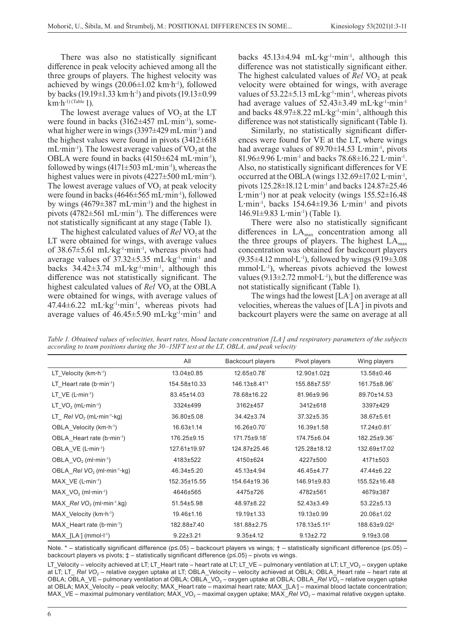There was also no statistically significant difference in peak velocity achieved among all the three groups of players. The highest velocity was achieved by wings  $(20.06\pm1.02 \text{ km}\cdot\text{h}^{-1})$ , followed by backs (19.19 $\pm$ 1.33 km·h<sup>-1</sup>) and pivots (19.13 $\pm$ 0.99  $km·h^{-1}$ ) (Table 1).

The lowest average values of  $VO<sub>2</sub>$  at the LT were found in backs  $(3162 \pm 457 \text{ mL} \cdot \text{min}^{-1})$ , somewhat higher were in wings (3397±429 mL**·**min-1) and the highest values were found in pivots  $(3412 \pm 618)$ mL·min<sup>-1</sup>). The lowest average values of  $VO<sub>2</sub>$  at the OBLA were found in backs (4150±624 mL**·**min-1), followed by wings (4171±503 mL**·**min-1), whereas the highest values were in pivots (4227±500 mL**·**min-1). The lowest average values of  $VO<sub>2</sub>$  at peak velocity were found in backs (4646±565 mL**·**min-1), followed by wings (4679±387 mL**·**min-1) and the highest in pivots (4782±561 mL**·**min-1). The differences were not statistically significant at any stage (Table 1).

The highest calculated values of *Rel* VO<sub>2</sub> at the LT were obtained for wings, with average values of 38.67±5.61 mL**·**kg-1**·**min-1, whereas pivots had average values of 37.32±5.35 mL**·**kg-1**·**min-1 and backs 34.42±3.74 mL**·**kg-1**·**min-1, although this difference was not statistically significant. The highest calculated values of *Rel* VO<sub>2</sub> at the OBLA were obtained for wings, with average values of 47.44±6.22 mL**·**kg-1**·**min-1, whereas pivots had average values of 46.45±5.90 mL**·**kg-1**·**min-1 and

backs 45.13±4.94 mL**·**kg-1**·**min-1, although this difference was not statistically significant either. The highest calculated values of *Rel* VO<sub>2</sub> at peak velocity were obtained for wings, with average values of 53.22±5.13 mL·kg<sup>-1</sup>·min<sup>-1</sup>, whereas pivots had average values of 52.43 $\pm$ 3.49 mL·kg<sup>-1</sup>·min<sup>-1</sup> and backs 48.97±8.22 mL**·**kg-1**·**min-1, although this difference was not statistically significant (Table 1).

Similarly, no statistically significant differences were found for VE at the LT, where wings had average values of 89.70±14.53 L**·**min-1, pivots 81.96±9.96 L**·**min-1 and backs 78.68±16.22 L**·**min-1. Also, no statistically significant differences for VE occurred at the OBLA (wings 132.69±17.02 L**·**min-1, pivots 125.28±18.12 L**·**min-1 and backs 124.87±25.46 L**·**min-1) nor at peak velocity (wings 155.52±16.48 L**·**min-1, backs 154.64±19.36 L**·**min-1 and pivots 146.91±9.83 L**·**min-1) (Table 1).

There were also no statistically significant differences in LAmax concentration among all the three groups of players. The highest  $LA<sub>max</sub>$ concentration was obtained for backcourt players (9.35±4.12 mmol**·**L-1), followed by wings (9.19±3.08 mmol**·**L-1), whereas pivots achieved the lowest values (9.13±2.72 mmol**·**L-1), but the difference was not statistically significant (Table 1).

The wings had the lowest [LA- ] on average at all velocities, whereas the values of [LA- ] in pivots and backcourt players were the same on average at all

*Table 1. Obtained values of velocities, heart rates, blood lactate concentration [LA- ] and respiratory parameters of the subjects according to team positions during the 30–15IFT test at the LT, OBLA, and peak velocity*

|                                                            | All              | Backcourt players             | Pivot players            | Wing players             |
|------------------------------------------------------------|------------------|-------------------------------|--------------------------|--------------------------|
| LT Velocity $(km \cdot h^{-1})$                            | 13.04±0.85       | 12.65±0.78                    | 12.90±1.02‡              | 13.58±0.46               |
| LT Heart rate $(b \cdot min^{-1})$                         | 154.58±10.33     | $146.13\pm8.41$ <sup>*†</sup> | 155.88±7.55 <sup>†</sup> | 161.75±8.96 <sup>*</sup> |
| $LT_VE$ (L-min-1)                                          | 83.45±14.03      | 78.68±16.22                   | 81.96±9.96               | 89.70±14.53              |
| LT $VO2$ (mL min <sup>-1</sup> )                           | 3324±499         | 3162±457                      | 3412±618                 | 3397±429                 |
| LT $RelVO2$ (mL min <sup>-1</sup> kg)                      | 36.80±5.08       | 34.42±3.74                    | 37.32±5.35               | 38.67±5.61               |
| OBLA Velocity (km·h <sup>-1</sup> )                        | $16.63 \pm 1.14$ | 16.26±0.70                    | 16.39±1.58               | 17.24±0.81               |
| OBLA Heart rate $(b \cdot min^{-1})$                       | 176.25±9.15      | 171.75±9.18                   | 174.75±6.04              | 182.25±9.36 <sup>*</sup> |
| OBLA VE (L·min-1)                                          | 127.61±19.97     | 124.87±25.46                  | 125.28±18.12             | 132.69±17.02             |
| OBLA $VO2$ (ml-min-1)                                      | 4183±522         | 4150±624                      | 4227±500                 | 4171±503                 |
| OBLA $RelVO2$ (ml-min <sup>-1</sup> -kg)                   | 46.34±5.20       | 45.13±4.94                    | 46.45±4.77               | 47.44±6.22               |
| $MAX$ VE (L-min-1)                                         | 152.35±15.55     | 154.64±19.36                  | 146.91±9.83              | 155.52±16.48             |
| $MAX \ VO2$ (ml-min <sup>-1</sup> )                        | 4646±565         | 4475±726                      | 4782±561                 | 4679±387                 |
| MAX $RelVO$ , (ml-min <sup>-1</sup> .kg)                   | 51.54±5.98       | 48.97±8.22                    | $52.43\pm3.49$           | $53.22 \pm 5.13$         |
| $MAX$ Velocity (km $\cdot$ h $^{-1}$ )                     | 19.46±1.16       | $19.19 \pm 1.33$              | 19.13±0.99               | 20.06±1.02               |
| $MAX$ Heart rate (b-min-1)                                 | 182.88±7.40      | 181.88±2.75                   | 178.13±5.11 <sup>‡</sup> | 188.63±9.02 <sup>‡</sup> |
| $MAX$ [LA $\cdot$ ] (mmol $\cdot$ l $\cdot$ <sup>1</sup> ) | $9.22 \pm 3.21$  | $9.35 + 4.12$                 | $9.13 \pm 2.72$          | $9.19 \pm 3.08$          |

Note. \* – statistically significant difference (p≤.05) – backcourt players vs wings; † – statistically significant difference (p≤.05) – backcourt players vs pivots; ‡ – statistically significant difference (p≤.05) – pivots vs wings.

LT\_Velocity – velocity achieved at LT; LT\_Heart rate – heart rate at LT; LT\_VE – pulmonary ventilation at LT; LT\_VO<sub>2</sub> – oxygen uptake at LT; LT\_ Rel VO<sub>2</sub> – relative oxygen uptake at LT; OBLA\_Velocity – velocity achieved at OBLA; OBLA\_Heart rate – heart rate at OBLA; OBLA\_VE – pulmonary ventilation at OBLA; OBLA\_VO<sub>2</sub> – oxygen uptake at OBLA; OBLA\_Rel VO<sub>2</sub> – relative oxygen uptake at OBLA; MAX\_Velocity – peak velocity; MAX\_Heart rate – maximal heart rate; MAX\_[LA- ] – maximal blood lactate concentration; MAX\_VE – maximal pulmonary ventilation; MAX\_VO<sub>2</sub> – maximal oxygen uptake; MAX\_*Rel VO<sub>2</sub>* – maximal relative oxygen uptake.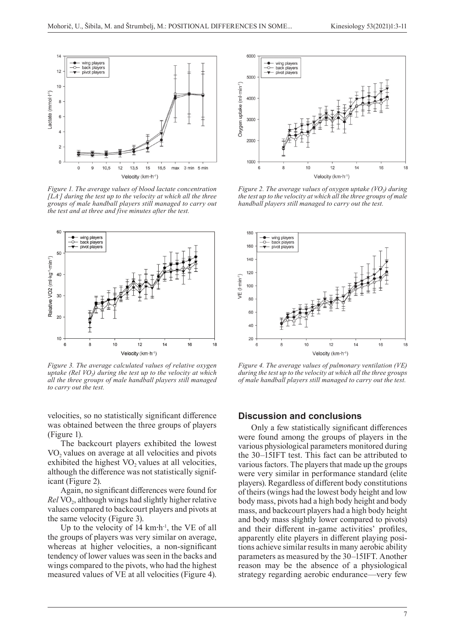

*Figure 1. The average values of blood lactate concentration [LA- ] during the test up to the velocity at which all the three groups of male handball players still managed to carry out the test and at three and five minutes after the test.*



*Figure 3. The average calculated values of relative oxygen uptake (Rel VO<sub>2</sub>) during the test up to the velocity at which all the three groups of male handball players still managed to carry out the test.*

velocities, so no statistically significant difference was obtained between the three groups of players (Figure 1).

The backcourt players exhibited the lowest  $VO<sub>2</sub>$  values on average at all velocities and pivots exhibited the highest  $VO<sub>2</sub>$  values at all velocities, although the difference was not statistically significant (Figure 2).

Again, no significant differences were found for *Rel* VO<sub>2</sub>, although wings had slightly higher relative values compared to backcourt players and pivots at the same velocity (Figure 3).

Up to the velocity of 14 km·h<sup>-1</sup>, the VE of all the groups of players was very similar on average, whereas at higher velocities, a non-significant tendency of lower values was seen in the backs and wings compared to the pivots, who had the highest measured values of VE at all velocities (Figure 4).



*Figure 2. The average values of oxygen uptake (VO<sub>2</sub>) during the test up to the velocity at which all the three groups of male handball players still managed to carry out the test.*



*Figure 4. The average values of pulmonary ventilation (VE) during the test up to the velocity at which all the three groups of male handball players still managed to carry out the test.*

### **Discussion and conclusions**

Only a few statistically significant differences were found among the groups of players in the various physiological parameters monitored during the 30–15IFT test. This fact can be attributed to various factors. The players that made up the groups were very similar in performance standard (elite players). Regardless of different body constitutions of theirs (wings had the lowest body height and low body mass, pivots had a high body height and body mass, and backcourt players had a high body height and body mass slightly lower compared to pivots) and their different in-game activities' profiles, apparently elite players in different playing positions achieve similar results in many aerobic ability parameters as measured by the 30–15IFT. Another reason may be the absence of a physiological strategy regarding aerobic endurance—very few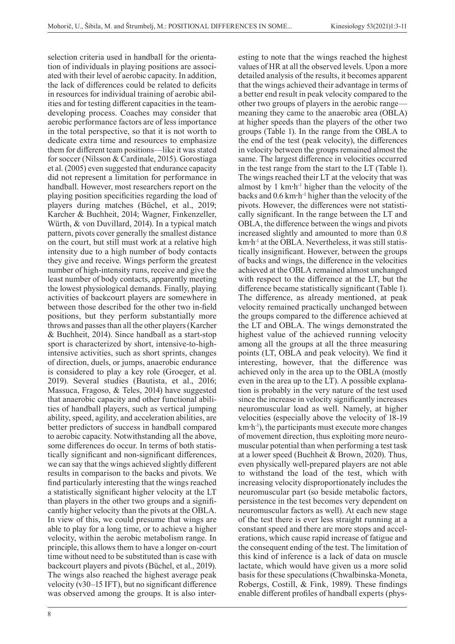selection criteria used in handball for the orientation of individuals in playing positions are associated with their level of aerobic capacity. In addition, the lack of differences could be related to deficits in resources for individual training of aerobic abilities and for testing different capacities in the teamdeveloping process. Coaches may consider that aerobic performance factors are of less importance in the total perspective, so that it is not worth to dedicate extra time and resources to emphasize them for different team positions—like it was stated for soccer (Nilsson & Cardinale, 2015). Gorostiaga et al. (2005) even suggested that endurance capacity did not represent a limitation for performance in handball. However, most researchers report on the playing position specificities regarding the load of players during matches (Büchel, et al., 2019; Karcher & Buchheit, 2014; Wagner, Finkenzeller, Würth, & von Duvillard, 2014). In a typical match pattern, pivots cover generally the smallest distance on the court, but still must work at a relative high intensity due to a high number of body contacts they give and receive. Wings perform the greatest number of high-intensity runs, receive and give the least number of body contacts, apparently meeting the lowest physiological demands. Finally, playing activities of backcourt players are somewhere in between those described for the other two in-field positions, but they perform substantially more throws and passes than all the other players (Karcher & Buchheit, 2014). Since handball as a start-stop sport is characterized by short, intensive-to-highintensive activities, such as short sprints, changes of direction, duels, or jumps, anaerobic endurance is considered to play a key role (Groeger, et al. 2019). Several studies (Bautista, et al., 2016; Massuca, Fragoso, & Teles, 2014) have suggested that anaerobic capacity and other functional abilities of handball players, such as vertical jumping ability, speed, agility, and acceleration abilities, are better predictors of success in handball compared to aerobic capacity. Notwithstanding all the above, some differences do occur. In terms of both statistically significant and non-significant differences, we can say that the wings achieved slightly different results in comparison to the backs and pivots. We find particularly interesting that the wings reached a statistically significant higher velocity at the LT than players in the other two groups and a significantly higher velocity than the pivots at the OBLA. In view of this, we could presume that wings are able to play for a long time, or to achieve a higher velocity, within the aerobic metabolism range. In principle, this allows them to have a longer on-court time without need to be substituted than is case with backcourt players and pivots (Büchel, et al., 2019). The wings also reached the highest average peak velocity (v30–15 IFT), but no significant difference was observed among the groups. It is also inter-

8

esting to note that the wings reached the highest values of HR at all the observed levels. Upon a more detailed analysis of the results, it becomes apparent that the wings achieved their advantage in terms of a better end result in peak velocity compared to the other two groups of players in the aerobic range meaning they came to the anaerobic area (OBLA) at higher speeds than the players of the other two groups (Table 1). In the range from the OBLA to the end of the test (peak velocity), the differences in velocity between the groups remained almost the same. The largest difference in velocities occurred in the test range from the start to the LT (Table 1). The wings reached their LT at the velocity that was almost by 1 km**·**h-1 higher than the velocity of the backs and 0.6 km**·**h-1 higher than the velocity of the pivots. However, the differences were not statistically significant. In the range between the LT and OBLA, the difference between the wings and pivots increased slightly and amounted to more than 0.8 km**·**h-1 at the OBLA. Nevertheless, it was still statistically insignificant. However, between the groups of backs and wings, the difference in the velocities achieved at the OBLA remained almost unchanged with respect to the difference at the LT, but the difference became statistically significant (Table 1). The difference, as already mentioned, at peak velocity remained practically unchanged between the groups compared to the difference achieved at the LT and OBLA. The wings demonstrated the highest value of the achieved running velocity among all the groups at all the three measuring points (LT, OBLA and peak velocity). We find it interesting, however, that the difference was achieved only in the area up to the OBLA (mostly even in the area up to the LT). A possible explanation is probably in the very nature of the test used since the increase in velocity significantly increases neuromuscular load as well. Namely, at higher velocities (especially above the velocity of 18-19 km**·**h-1), the participants must execute more changes of movement direction, thus exploiting more neuromuscular potential than when performing a test task at a lower speed (Buchheit & Brown, 2020). Thus, even physically well-prepared players are not able to withstand the load of the test, which with increasing velocity disproportionately includes the neuromuscular part (so beside metabolic factors, persistence in the test becomes very dependent on neuromuscular factors as well). At each new stage of the test there is ever less straight running at a constant speed and there are more stops and accelerations, which cause rapid increase of fatigue and the consequent ending of the test. The limitation of this kind of inference is a lack of data on muscle lactate, which would have given us a more solid basis for these speculations (Chwalbinska-Moneta, Robergs, Costill, & Fink, 1989). These findings enable different profiles of handball experts (phys-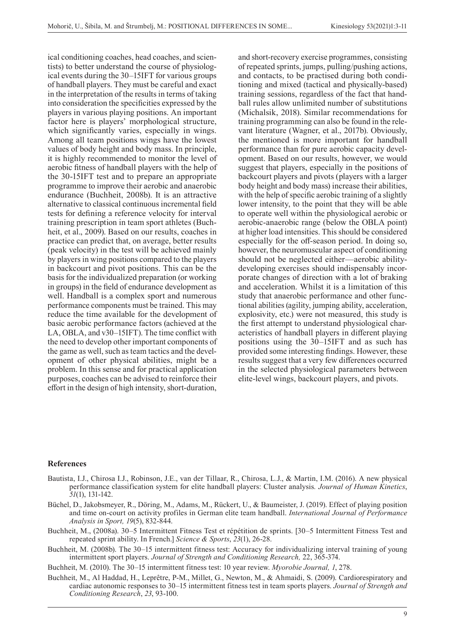ical conditioning coaches, head coaches, and scientists) to better understand the course of physiological events during the 30–15IFT for various groups of handball players. They must be careful and exact in the interpretation of the results in terms of taking into consideration the specificities expressed by the players in various playing positions. An important factor here is players' morphological structure, which significantly varies, especially in wings. Among all team positions wings have the lowest values of body height and body mass. In principle, it is highly recommended to monitor the level of aerobic fitness of handball players with the help of the 30-15IFT test and to prepare an appropriate programme to improve their aerobic and anaerobic endurance (Buchheit, 2008b). It is an attractive alternative to classical continuous incremental field tests for defining a reference velocity for interval training prescription in team sport athletes (Buchheit, et al., 2009). Based on our results, coaches in practice can predict that, on average, better results (peak velocity) in the test will be achieved mainly by players in wing positions compared to the players in backcourt and pivot positions. This can be the basis for the individualized preparation (or working in groups) in the field of endurance development as well. Handball is a complex sport and numerous performance components must be trained. This may reduce the time available for the development of basic aerobic performance factors (achieved at the LA, OBLA, and v30–15IFT). The time conflict with the need to develop other important components of the game as well, such as team tactics and the development of other physical abilities, might be a problem. In this sense and for practical application purposes, coaches can be advised to reinforce their effort in the design of high intensity, short-duration,

and short-recovery exercise programmes, consisting of repeated sprints, jumps, pulling/pushing actions, and contacts, to be practised during both conditioning and mixed (tactical and physically-based) training sessions, regardless of the fact that handball rules allow unlimited number of substitutions (Michalsik, 2018). Similar recommendations for training programming can also be found in the relevant literature (Wagner, et al., 2017b). Obviously, the mentioned is more important for handball performance than for pure aerobic capacity development. Based on our results, however, we would suggest that players, especially in the positions of backcourt players and pivots (players with a larger body height and body mass) increase their abilities, with the help of specific aerobic training of a slightly lower intensity, to the point that they will be able to operate well within the physiological aerobic or aerobic-anaerobic range (below the OBLA point) at higher load intensities. This should be considered especially for the off-season period. In doing so, however, the neuromuscular aspect of conditioning should not be neglected either—aerobic abilitydeveloping exercises should indispensably incorporate changes of direction with a lot of braking and acceleration. Whilst it is a limitation of this study that anaerobic performance and other functional abilities (agility, jumping ability, acceleration, explosivity, etc.) were not measured, this study is the first attempt to understand physiological characteristics of handball players in different playing positions using the 30–15IFT and as such has provided some interesting findings. However, these results suggest that a very few differences occurred in the selected physiological parameters between elite-level wings, backcourt players, and pivots.

#### **References**

- Bautista, I.J., Chirosa I.J., Robinson, J.E., van der Tillaar, R., Chirosa, L.J., & Martin, I.M. (2016). A new physical performance classification system for elite handball players: Cluster analysis*. Journal of Human Kinetics*, *51*(1), 131-142.
- Büchel, D., Jakobsmeyer, R., Döring, M., Adams, M., Rückert, U., & Baumeister, J. (2019). Effect of playing position and time on-court on activity profiles in German elite team handball. *International Journal of Performance Analysis in Sport, 19*(5), 832-844.
- Buchheit, M., (2008a). 30–5 Intermittent Fitness Test et répétition de sprints. [30–5 Intermittent Fitness Test and repeated sprint ability. In French.] *Science & Sports*, *23*(1), 26-28.
- Buchheit, M. (2008b). The 30–15 intermittent fitness test: Accuracy for individualizing interval training of young intermittent sport players. *Journal of Strength and Conditioning Research,* 22, 365-374.

Buchheit, M. (2010). The 30–15 intermittent fitness test: 10 year review. *Myorobie Journal, 1*, 278.

Buchheit, M., Al Haddad, H., Leprêtre, P-M., Millet, G., Newton, M., & Ahmaidi, S. (2009). Cardiorespiratory and cardiac autonomic responses to 30–15 intermittent fitness test in team sports players. *Journal of Strength and Conditioning Research*, *23*, 93-100.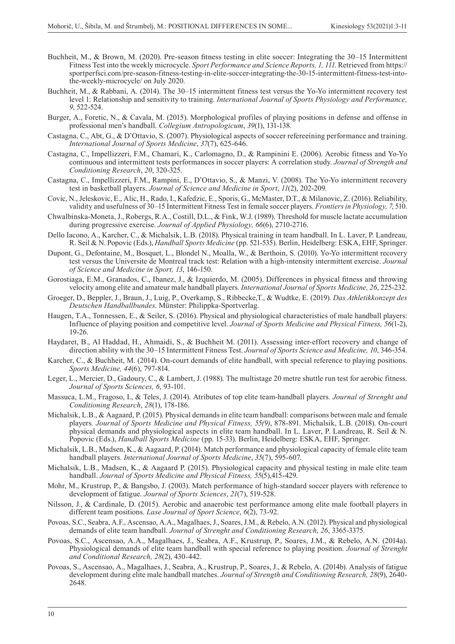- Buchheit, M., & Brown, M. (2020). Pre-season fitness testing in elite soccer: Integrating the 30–15 Intermittent Fitness Test into the weekly microcycle. *Sport Performance and Science Reports, 1, 111*. Retrieved from https:// sportperfsci.com/pre-season-fitness-testing-in-elite-soccer-integrating-the-30-15-intermittent-fitness-test-intothe-weekly-microcycle/ on July 2020.
- Buchheit, M., & Rabbani, A. (2014). The 30–15 intermittent fitness test versus the Yo-Yo intermittent recovery test level 1: Relationship and sensitivity to training. *International Journal of Sports Physiology and Performance, 9*, 522-524.
- Burger, A., Foretic, N., & Cavala, M. (2015). Morphological profiles of playing positions in defense and offense in professional men's handball. *Collegium Antropologicum*, *39*(1), 131-138.
- Castagna, C., Abt, G., & D'Ottavio, S. (2007). Physiological aspects of soccer refereeining performance and training. *International Journal of Sports Medicine*, *37*(7), 625-646.
- Castagna, C., Impellizzeri, F.M., Chamari, K., Carlomagno, D., & Rampinini E. (2006). Aerobic fitness and Yo-Yo continuous and intermittent tests performances in soccer players: A correlation study. *Journal of Strength and Conditioning Research*, *20*, 320-325.
- Castagna, C., Impellizzeri, F.M., Rampini, E., D'Ottavio, S., & Manzi, V. (2008). The Yo-Yo intermittent recovery test in basketball players. *Journal of Science and Medicine in Sport*, *11*(2), 202-209.
- Covic, N., Jeleskovic, E., Alic, H., Rado, I., Kafedzic, E., Sporis, G., McMaster, D.T., & Milanovic, Z. (2016). Reliability, validity and usefulness of 30–15 Intermittent Fitness Test in female soccer players. *Frontiers in Physiology, 7*, 510.
- Chwalbinska-Moneta, J., Robergs, R.A., Costill, D.L., & Fink, W.J. (1989). Threshold for muscle lactate accumulation during progressive exercise. *Journal of Applied Physiology, 66*(6), 2710-2716.
- Dello Iacono, A., Karcher, C., & Michalsik, L.B. (2018). Physical training in team handball. In L. Laver, P. Landreau, R. Seil & N. Popovic (Eds.), *Handball Sports Medicine* (pp. 521-535). Berlin, Heidelberg: ESKA, EHF, Springer.
- Dupont, G., Defontaine, M., Bosquet, L., Blondel N., Moalla, W., & Berthoin, S. (2010). Yo-Yo intermittent recovery test versus the Universite de Montreal track test: Relation with a high-intensity intermittent exercise. *Journal of Science and Medicine in Sport, 13*, 146-150.
- Gorostiaga, E.M., Granados, C., Ibanez, J., & Izquierdo, M. (2005). Differences in physical fitness and throwing velocity among elite and amateur male handball players. *International Journal of Sports Medicine, 26*, 225-232.
- Groeger, D., Beppler, J., Braun, J., Luig, P., Overkamp, S., Ribbecke,T., & Wudtke, E. (2019). *Das Athletikkonzept des Deutschen Handballbundes*. Münster: Philippka-Sportverlag.
- Haugen, T.A., Tonnessen, E., & Seiler, S. (2016). Physical and physiological characteristics of male handball players: Influence of playing position and competitive level. *Journal of Sports Medicine and Physical Fitness, 56*(1-2), 19-26.
- Haydaret, B., Al Haddad, H., Ahmaidi, S., & Buchheit M. (2011). Assessing inter-effort recovery and change of direction ability with the 30–15 Intermittent Fitness Test. *Journal of Sports Science and Medicine, 10*, 346-354.
- Karcher, C., & Buchheit, M. (2014). On-court demands of elite handball, with special reference to playing positions. *Sports Medicine, 44*(6), 797-814.
- Leger, L., Mercier, D., Gadoury, C., & Lambert, J. (1988). The multistage 20 metre shuttle run test for aerobic fitness. *Journal of Sports Sciences, 6*, 93-101.
- Massuca, L.M., Fragoso, I., & Teles, J. (2014). Atributes of top elite team-handball players*. Journal of Strenght and Conditioning Research*, *28*(1), 178-186.
- Michalsik, L.B., & Aagaard, P. (2015). Physical demands in elite team handball: comparisons between male and female players*. Journal of Sports Medicine and Physical Fitness, 55(9)*, 878-891. Michalsik, L.B. (2018). On-court physical demands and physiological aspects in elite team handball. In L. Laver, P. Landreau, R. Seil & N. Popovic (Eds.), *Handball Sports Medicine* (pp. 15-33). Berlin, Heidelberg: ESKA, EHF, Springer.
- Michalsik, L.B., Madsen, K., & Aagaard, P. (2014). Match performance and physiological capacity of female elite team handball players. *International Journal of Sports Medicine*, *35*(7), 595-607.
- Michalsik, L.B., Madsen, K., & Aagaard P. (2015). Physiological capacity and physical testing in male elite team handball. *Journal of Sports Medicine and Physical Fitness, 55*(5),415-429.
- Mohr, M., Krustrup, P., & Bangsbo, J. (2003). Match performance of high-standard soccer players with reference to development of fatigue. *Journal of Sports Sciences*, *21*(7), 519-528.
- Nilsson, J., & Cardinale, D. (2015). Aerobic and anaerobic test performance among elite male football players in different team positions. *Lase Journal of Sport Science*, *6*(2), 73-92.
- Povoas, S.C., Seabra, A.F., Ascensao, A.A., Magalhaes, J., Soares, J.M., & Rebelo, A.N. (2012). Physical and physiological demands of elite team handball. *Journal of Strenght and Conditioning Research*, *26*, 3365-3375.
- Povoas, S.C., Ascensao, A.A., Magalhaes, J., Seabra, A.F., Krustrup, P., Soares, J.M., & Rebelo, A.N. (2014a). Physiological demands of elite team handball with special reference to playing position. *Journal of Strenght and Conditional Research, 28*(2), 430-442.
- Povoas, S., Ascensao, A., Magalhaes, J., Seabra, A., Krustrup, P., Soares, J., & Rebelo, A. (2014b). Analysis of fatigue development during elite male handball matches. *Journal of Strength and Conditioning Research, 28*(9), 2640- 2648.